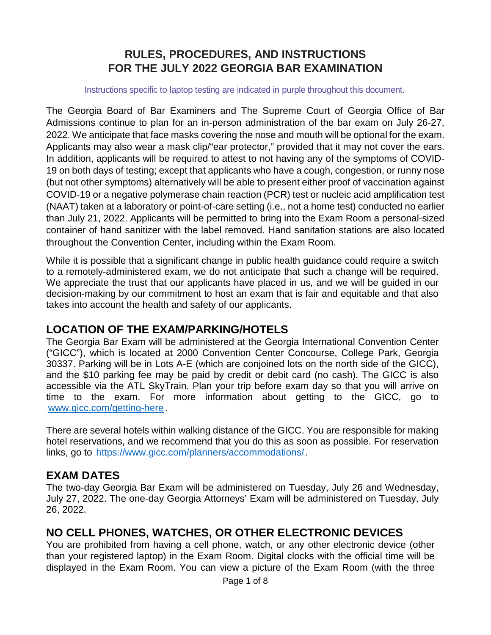# **RULES, PROCEDURES, AND INSTRUCTIONS FOR THE JULY 2022 GEORGIA BAR EXAMINATION**

#### Instructions specific to laptop testing are indicated in purple throughout this document.

The Georgia Board of Bar Examiners and The Supreme Court of Georgia Office of Bar Admissions continue to plan for an in-person administration of the bar exam on July 26-27, 2022. We anticipate that face masks covering the nose and mouth will be optional for the exam. Applicants may also wear a mask clip/"ear protector," provided that it may not cover the ears. In addition, applicants will be required to attest to not having any of the symptoms of COVID-19 on both days of testing; except that applicants who have a cough, congestion, or runny nose (but not other symptoms) alternatively will be able to present either proof of vaccination against COVID-19 or a negative polymerase chain reaction (PCR) test or nucleic acid amplification test (NAAT) taken at a laboratory or point-of-care setting (i.e., not a home test) conducted no earlier than July 21, 2022. Applicants will be permitted to bring into the Exam Room a personal-sized container of hand sanitizer with the label removed. Hand sanitation stations are also located throughout the Convention Center, including within the Exam Room.

While it is possible that a significant change in public health guidance could require a switch to a remotely-administered exam, we do not anticipate that such a change will be required. We appreciate the trust that our applicants have placed in us, and we will be guided in our decision-making by our commitment to host an exam that is fair and equitable and that also takes into account the health and safety of our applicants.

### **LOCATION OF THE EXAM/PARKING/HOTELS**

The Georgia Bar Exam will be administered at the Georgia International Convention Center ("GICC"), which is located at 2000 Convention Center Concourse, College Park, Georgia 30337. Parking will be in Lots A-E (which are conjoined lots on the north side of the GICC), and the \$10 parking fee may be paid by credit or debit card (no cash). The GICC is also accessible via the ATL SkyTrain. Plan your trip before exam day so that you will arrive on time to the exam. For more information about getting to the GICC, go to [www.gicc.com/getting-here](https://linkprotect.cudasvc.com/url?a=http%3a%2f%2fwww.gicc.com%2fgetting-here&c=E,1,xkY5fpF0F7vd7kBuCLADmaL6LHjINRurXhw07w1iv3zBDx77TTHOwQoSYN5L5jIyKCWvcGumSh7M5D1zUjJKrSsziMbyQ4mNNK6ukoE7h_qqlwBZoClBI3HkRjw,&typo=1)

There are several hotels within walking distance of the GICC. You are responsible for making hotel reservations, and we recommend that you do this as soon as possible. For reservation links, go to [https://www.gicc.com/planners/accommodations/](https://linkprotect.cudasvc.com/url?a=https%3a%2f%2fwww.gicc.com%2fplanners%2faccommodations%2f&c=E,1,5lwsg_LdRQXdKr5dM1-1Ni8BLa7u4Bu_TOQzkkFOhHy1-yXXgCui8EDYSQhAKau7W_M8qmEO4KDo1lxUfpi7vs2wXAYHZTT2glxc9G5bWJda&typo=1).

### **EXAM DATES**

The two-day Georgia Bar Exam will be administered on Tuesday, July 26 and Wednesday, July 27, 2022. The one-day Georgia Attorneys' Exam will be administered on Tuesday, July 26, 2022.

# **NO CELL PHONES, WATCHES, OR OTHER ELECTRONIC DEVICES**

You are prohibited from having a cell phone, watch, or any other electronic device (other than your registered laptop) in the Exam Room. Digital clocks with the official time will be displayed in the Exam Room. You can view a picture of the Exam Room (with the three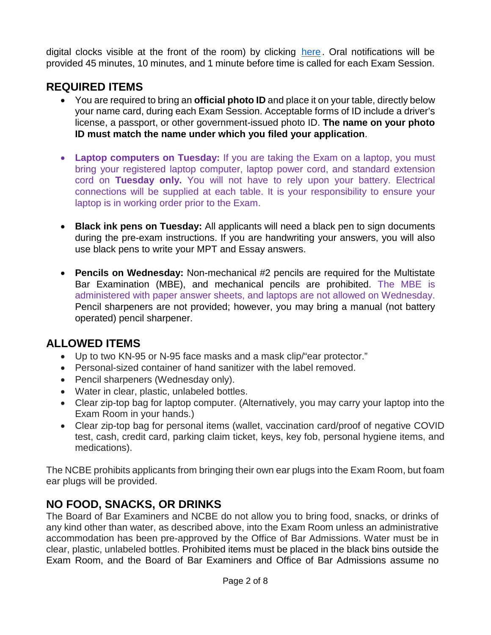digital clocks visible at the front of the room) by clicking [here](https://www.gabaradmissions.org/bar_exam_photo). Oral notifications will be provided 45 minutes, 10 minutes, and 1 minute before time is called for each Exam Session.

# **REQUIRED ITEMS**

- You are required to bring an **official photo ID** and place it on your table, directly below your name card, during each Exam Session. Acceptable forms of ID include a driver's license, a passport, or other government-issued photo ID. **The name on your photo ID must match the name under which you filed your application**.
- **Laptop computers on Tuesday:** If you are taking the Exam on a laptop, you must bring your registered laptop computer, laptop power cord, and standard extension cord on **Tuesday only.** You will not have to rely upon your battery. Electrical connections will be supplied at each table. It is your responsibility to ensure your laptop is in working order prior to the Exam.
- **Black ink pens on Tuesday:** All applicants will need a black pen to sign documents during the pre-exam instructions. If you are handwriting your answers, you will also use black pens to write your MPT and Essay answers.
- **Pencils on Wednesday:** Non-mechanical #2 pencils are required for the Multistate Bar Examination (MBE), and mechanical pencils are prohibited. The MBE is administered with paper answer sheets, and laptops are not allowed on Wednesday. Pencil sharpeners are not provided; however, you may bring a manual (not battery operated) pencil sharpener.

# **ALLOWED ITEMS**

- Up to two KN-95 or N-95 face masks and a mask clip/"ear protector."
- Personal-sized container of hand sanitizer with the label removed.
- Pencil sharpeners (Wednesday only).
- Water in clear, plastic, unlabeled bottles.
- Clear zip-top bag for laptop computer. (Alternatively, you may carry your laptop into the Exam Room in your hands.)
- Clear zip-top bag for personal items (wallet, vaccination card/proof of negative COVID test, cash, credit card, parking claim ticket, keys, key fob, personal hygiene items, and medications).

The NCBE prohibits applicants from bringing their own ear plugs into the Exam Room, but foam ear plugs will be provided.

# **NO FOOD, SNACKS, OR DRINKS**

The Board of Bar Examiners and NCBE do not allow you to bring food, snacks, or drinks of any kind other than water, as described above, into the Exam Room unless an administrative accommodation has been pre-approved by the Office of Bar Admissions. Water must be in clear, plastic, unlabeled bottles. Prohibited items must be placed in the black bins outside the Exam Room, and the Board of Bar Examiners and Office of Bar Admissions assume no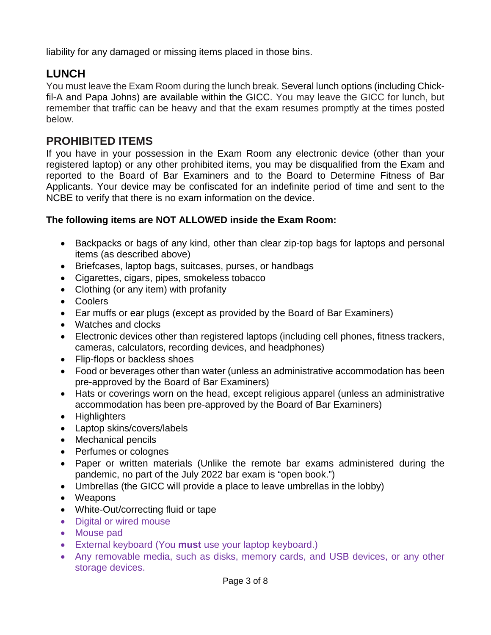liability for any damaged or missing items placed in those bins.

# **LUNCH**

You must leave the Exam Room during the lunch break. Several lunch options (including Chickfil-A and Papa Johns) are available within the GICC. You may leave the GICC for lunch, but remember that traffic can be heavy and that the exam resumes promptly at the times posted below.

# **PROHIBITED ITEMS**

If you have in your possession in the Exam Room any electronic device (other than your registered laptop) or any other prohibited items, you may be disqualified from the Exam and reported to the Board of Bar Examiners and to the Board to Determine Fitness of Bar Applicants. Your device may be confiscated for an indefinite period of time and sent to the NCBE to verify that there is no exam information on the device.

#### **The following items are NOT ALLOWED inside the Exam Room:**

- Backpacks or bags of any kind, other than clear zip-top bags for laptops and personal items (as described above)
- Briefcases, laptop bags, suitcases, purses, or handbags
- Cigarettes, cigars, pipes, smokeless tobacco
- Clothing (or any item) with profanity
- Coolers
- Ear muffs or ear plugs (except as provided by the Board of Bar Examiners)
- Watches and clocks
- Electronic devices other than registered laptops (including cell phones, fitness trackers, cameras, calculators, recording devices, and headphones)
- Flip-flops or backless shoes
- Food or beverages other than water (unless an administrative accommodation has been pre-approved by the Board of Bar Examiners)
- Hats or coverings worn on the head, except religious apparel (unless an administrative accommodation has been pre-approved by the Board of Bar Examiners)
- Highlighters
- Laptop skins/covers/labels
- Mechanical pencils
- Perfumes or colognes
- Paper or written materials (Unlike the remote bar exams administered during the pandemic, no part of the July 2022 bar exam is "open book.")
- Umbrellas (the GICC will provide a place to leave umbrellas in the lobby)
- Weapons
- White-Out/correcting fluid or tape
- Digital or wired mouse
- Mouse pad
- External keyboard (You **must** use your laptop keyboard.)
- Any removable media, such as disks, memory cards, and USB devices, or any other storage devices.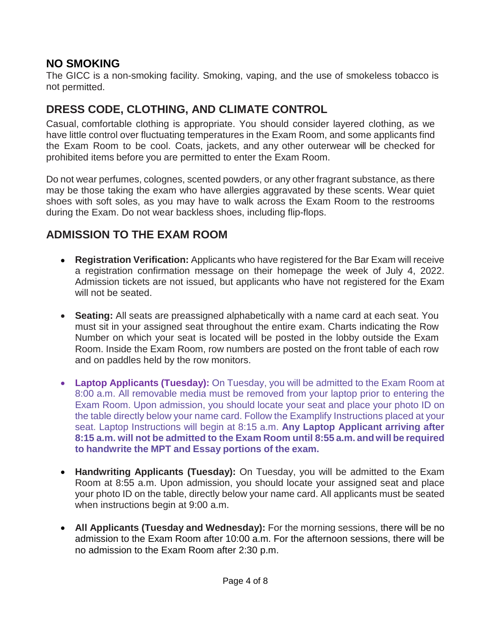# **NO SMOKING**

The GICC is a non-smoking facility. Smoking, vaping, and the use of smokeless tobacco is not permitted.

# **DRESS CODE, CLOTHING, AND CLIMATE CONTROL**

Casual, comfortable clothing is appropriate. You should consider layered clothing, as we have little control over fluctuating temperatures in the Exam Room, and some applicants find the Exam Room to be cool. Coats, jackets, and any other outerwear will be checked for prohibited items before you are permitted to enter the Exam Room.

Do not wear perfumes, colognes, scented powders, or any other fragrant substance, as there may be those taking the exam who have allergies aggravated by these scents. Wear quiet shoes with soft soles, as you may have to walk across the Exam Room to the restrooms during the Exam. Do not wear backless shoes, including flip-flops.

# **ADMISSION TO THE EXAM ROOM**

- **Registration Verification:** Applicants who have registered for the Bar Exam will receive a registration confirmation message on their homepage the week of July 4, 2022. Admission tickets are not issued, but applicants who have not registered for the Exam will not be seated.
- **Seating:** All seats are preassigned alphabetically with a name card at each seat. You must sit in your assigned seat throughout the entire exam. Charts indicating the Row Number on which your seat is located will be posted in the lobby outside the Exam Room. Inside the Exam Room, row numbers are posted on the front table of each row and on paddles held by the row monitors.
- **Laptop Applicants (Tuesday):** On Tuesday, you will be admitted to the Exam Room at 8:00 a.m. All removable media must be removed from your laptop prior to entering the Exam Room. Upon admission, you should locate your seat and place your photo ID on the table directly below your name card. Follow the Examplify Instructions placed at your seat. Laptop Instructions will begin at 8:15 a.m. **Any Laptop Applicant arriving after 8:15 a.m. will not be admitted to the Exam Room until 8:55 a.m. and will be required to handwrite the MPT and Essay portions of the exam.**
- **Handwriting Applicants (Tuesday):** On Tuesday, you will be admitted to the Exam Room at 8:55 a.m. Upon admission, you should locate your assigned seat and place your photo ID on the table, directly below your name card. All applicants must be seated when instructions begin at 9:00 a.m.
- **All Applicants (Tuesday and Wednesday):** For the morning sessions, there will be no admission to the Exam Room after 10:00 a.m. For the afternoon sessions, there will be no admission to the Exam Room after 2:30 p.m.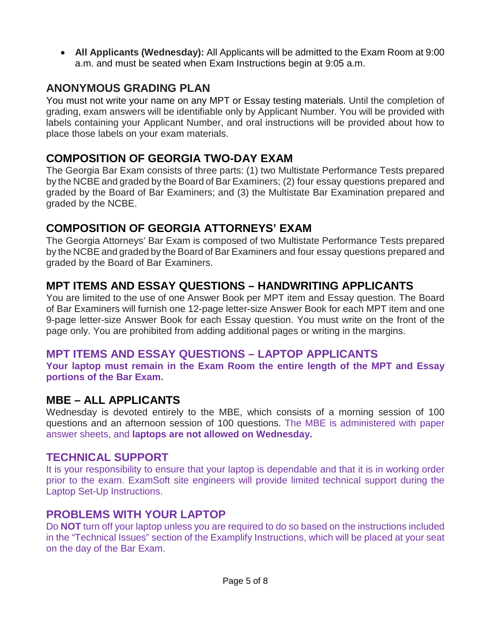• **All Applicants (Wednesday):** All Applicants will be admitted to the Exam Room at 9:00 a.m. and must be seated when Exam Instructions begin at 9:05 a.m.

# **ANONYMOUS GRADING PLAN**

You must not write your name on any MPT or Essay testing materials. Until the completion of grading, exam answers will be identifiable only by Applicant Number. You will be provided with labels containing your Applicant Number, and oral instructions will be provided about how to place those labels on your exam materials.

### **COMPOSITION OF GEORGIA TWO-DAY EXAM**

The Georgia Bar Exam consists of three parts: (1) two Multistate Performance Tests prepared by the NCBE and graded by the Board of Bar Examiners; (2) four essay questions prepared and graded by the Board of Bar Examiners; and (3) the Multistate Bar Examination prepared and graded by the NCBE.

# **COMPOSITION OF GEORGIA ATTORNEYS' EXAM**

The Georgia Attorneys' Bar Exam is composed of two Multistate Performance Tests prepared by the NCBE and graded by the Board of Bar Examiners and four essay questions prepared and graded by the Board of Bar Examiners.

# **MPT ITEMS AND ESSAY QUESTIONS – HANDWRITING APPLICANTS**

You are limited to the use of one Answer Book per MPT item and Essay question. The Board of Bar Examiners will furnish one 12-page letter-size Answer Book for each MPT item and one 9-page letter-size Answer Book for each Essay question. You must write on the front of the page only. You are prohibited from adding additional pages or writing in the margins.

# **MPT ITEMS AND ESSAY QUESTIONS – LAPTOP APPLICANTS**

**Your laptop must remain in the Exam Room the entire length of the MPT and Essay portions of the Bar Exam.**

### **MBE – ALL APPLICANTS**

Wednesday is devoted entirely to the MBE, which consists of a morning session of 100 questions and an afternoon session of 100 questions. The MBE is administered with paper answer sheets, and **laptops are not allowed on Wednesday.**

### **TECHNICAL SUPPORT**

It is your responsibility to ensure that your laptop is dependable and that it is in working order prior to the exam. ExamSoft site engineers will provide limited technical support during the Laptop Set-Up Instructions.

# **PROBLEMS WITH YOUR LAPTOP**

Do **NOT** turn off your laptop unless you are required to do so based on the instructions included in the "Technical Issues" section of the Examplify Instructions, which will be placed at your seat on the day of the Bar Exam.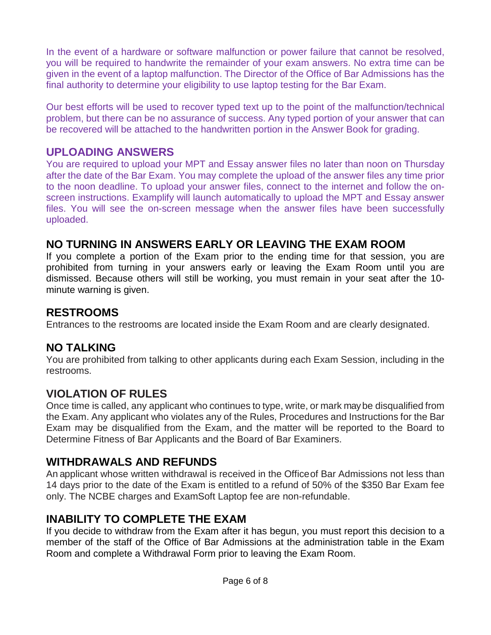In the event of a hardware or software malfunction or power failure that cannot be resolved, you will be required to handwrite the remainder of your exam answers. No extra time can be given in the event of a laptop malfunction. The Director of the Office of Bar Admissions has the final authority to determine your eligibility to use laptop testing for the Bar Exam.

Our best efforts will be used to recover typed text up to the point of the malfunction/technical problem, but there can be no assurance of success. Any typed portion of your answer that can be recovered will be attached to the handwritten portion in the Answer Book for grading.

### **UPLOADING ANSWERS**

You are required to upload your MPT and Essay answer files no later than noon on Thursday after the date of the Bar Exam. You may complete the upload of the answer files any time prior to the noon deadline. To upload your answer files, connect to the internet and follow the onscreen instructions. Examplify will launch automatically to upload the MPT and Essay answer files. You will see the on-screen message when the answer files have been successfully uploaded.

# **NO TURNING IN ANSWERS EARLY OR LEAVING THE EXAM ROOM**

If you complete a portion of the Exam prior to the ending time for that session, you are prohibited from turning in your answers early or leaving the Exam Room until you are dismissed. Because others will still be working, you must remain in your seat after the 10 minute warning is given.

### **RESTROOMS**

Entrances to the restrooms are located inside the Exam Room and are clearly designated.

# **NO TALKING**

You are prohibited from talking to other applicants during each Exam Session, including in the restrooms.

### **VIOLATION OF RULES**

Once time is called, any applicant who continues to type, write, or mark maybe disqualified from the Exam. Any applicant who violates any of the Rules, Procedures and Instructions for the Bar Exam may be disqualified from the Exam, and the matter will be reported to the Board to Determine Fitness of Bar Applicants and the Board of Bar Examiners.

# **WITHDRAWALS AND REFUNDS**

An applicant whose written withdrawal is received in the Officeof Bar Admissions not less than 14 days prior to the date of the Exam is entitled to a refund of 50% of the \$350 Bar Exam fee only. The NCBE charges and ExamSoft Laptop fee are non-refundable.

### **INABILITY TO COMPLETE THE EXAM**

If you decide to withdraw from the Exam after it has begun, you must report this decision to a member of the staff of the Office of Bar Admissions at the administration table in the Exam Room and complete a Withdrawal Form prior to leaving the Exam Room.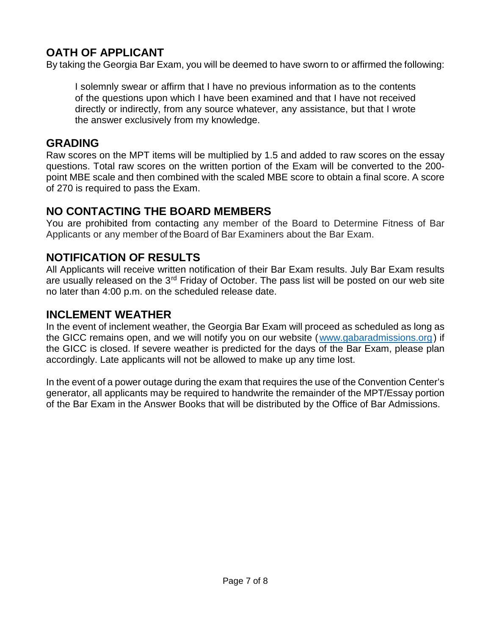# **OATH OF APPLICANT**

By taking the Georgia Bar Exam, you will be deemed to have sworn to or affirmed the following:

I solemnly swear or affirm that I have no previous information as to the contents of the questions upon which I have been examined and that I have not received directly or indirectly, from any source whatever, any assistance, but that I wrote the answer exclusively from my knowledge.

#### **GRADING**

Raw scores on the MPT items will be multiplied by 1.5 and added to raw scores on the essay questions. Total raw scores on the written portion of the Exam will be converted to the 200 point MBE scale and then combined with the scaled MBE score to obtain a final score. A score of 270 is required to pass the Exam.

# **NO CONTACTING THE BOARD MEMBERS**

You are prohibited from contacting any member of the Board to Determine Fitness of Bar Applicants or any member of the Board of Bar Examiners about the Bar Exam.

# **NOTIFICATION OF RESULTS**

All Applicants will receive written notification of their Bar Exam results. July Bar Exam results are usually released on the 3<sup>rd</sup> Friday of October. The pass list will be posted on our web site no later than 4:00 p.m. on the scheduled release date.

### **INCLEMENT WEATHER**

In the event of inclement weather, the Georgia Bar Exam will proceed as scheduled as long as the GICC remains open, and we will notify you on our website ([www.gabaradmissions.org](http://www.gabaradmissions.org/)) if the GICC is closed. If severe weather is predicted for the days of the Bar Exam, please plan accordingly. Late applicants will not be allowed to make up any time lost.

In the event of a power outage during the exam that requires the use of the Convention Center's generator, all applicants may be required to handwrite the remainder of the MPT/Essay portion of the Bar Exam in the Answer Books that will be distributed by the Office of Bar Admissions.